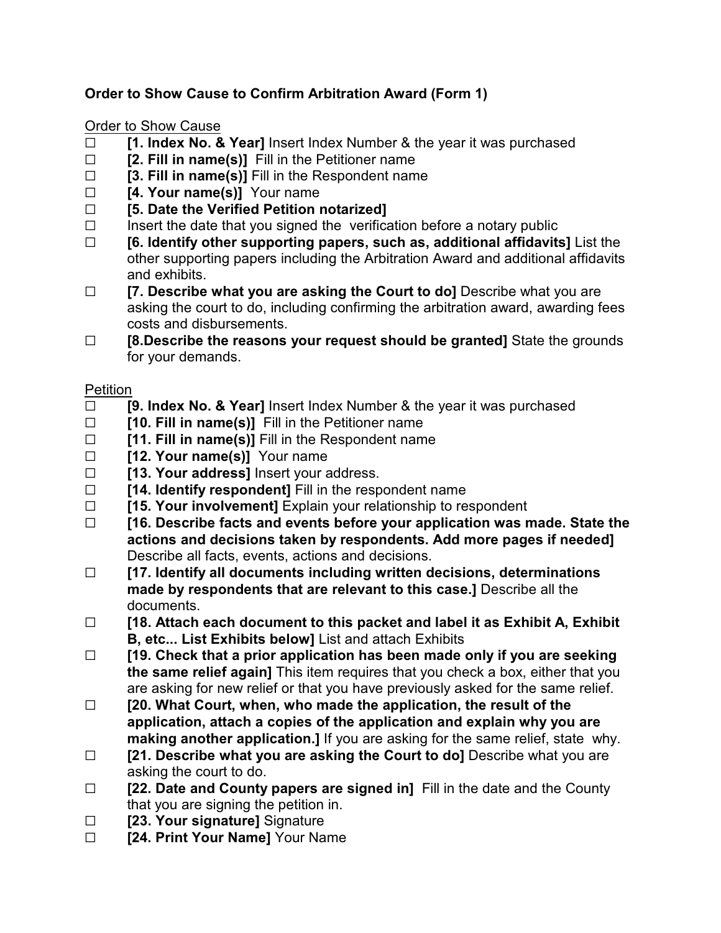## **Order to Show Cause to Confirm Arbitration Award (Form 1)**

## Order to Show Cause

- □ **[1. Index No. & Year]** Insert Index Number & the year it was purchased
- □ **[2. Fill in name(s)]** Fill in the Petitioner name
- G **[3. Fill in name(s)]** Fill in the Respondent name
- □ **[4. Your name(s)]** Your name
- G **[5. Date the Verified Petition notarized]**
- $\Box$  Insert the date that you signed the verification before a notary public
- G **[6. Identify other supporting papers, such as, additional affidavits]** List the other supporting papers including the Arbitration Award and additional affidavits and exhibits.
- □ **[7. Describe what you are asking the Court to do**] Describe what you are asking the court to do, including confirming the arbitration award, awarding fees costs and disbursements.
- □ **[8.Describe the reasons your request should be granted]** State the grounds for your demands.

## Petition

- G **[9. Index No. & Year]** Insert Index Number & the year it was purchased
- □ **[10. Fill in name(s)]** Fill in the Petitioner name
- □ **[11. Fill in name(s)]** Fill in the Respondent name
- □ **[12. Your name(s)]** Your name
- **Fig. 75. Your address]** Insert your address.
- □ **[14. Identify respondent]** Fill in the respondent name
- G **[15. Your involvement]** Explain your relationship to respondent
- G **[16. Describe facts and events before your application was made. State the actions and decisions taken by respondents. Add more pages if needed]** Describe all facts, events, actions and decisions.
- G **[17. Identify all documents including written decisions, determinations made by respondents that are relevant to this case.]** Describe all the documents.
- G **[18. Attach each document to this packet and label it as Exhibit A, Exhibit B, etc... List Exhibits below]** List and attach Exhibits
- G **[19. Check that a prior application has been made only if you are seeking the same relief again]** This item requires that you check a box, either that you are asking for new relief or that you have previously asked for the same relief.
- G **[20. What Court, when, who made the application, the result of the application, attach a copies of the application and explain why you are making another application.]** If you are asking for the same relief, state why.
- □ **[21. Describe what you are asking the Court to do]** Describe what you are asking the court to do.
- □ **[22. Date and County papers are signed in]** Fill in the date and the County that you are signing the petition in.
- □ **[23. Your signature]** Signature
- **Example 24. Print Your Name** Your Name